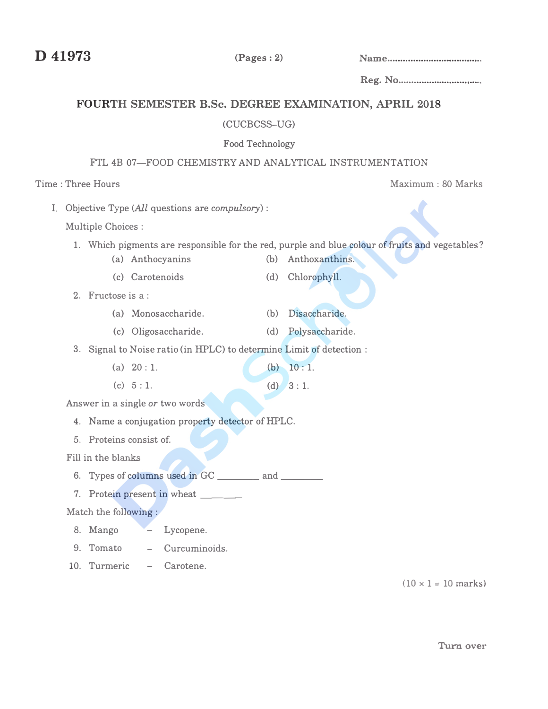**D 41973** (Pages: 2) **Name .................................... .** 

Reg. No ............................... ..

Maximum : 80 Marks

# FOURTH SEMESTER B.Sc. DEGREE EXAMINATION, APRIL 2018

#### (CUCBCSS-UG)

### Food Technology

### FTL 4B 07-FOOD CHEMISTRY AND ANALYTICAL INSTRUMENTATION

## Time : Three Hours

I. Objective Type *(All* questions are *compulsory):*

Multiple Choices :

- **1.** Which pigments are responsible for the red, purple and blue colour of fruits and vegetables?
	- (a) Anthocyanins (b) Anthoxanthins.
		-
	- (c) Carotenoids (d) Chlorophyll.
- 2. Fructose is a:
	- (a) Monosaccharide. (b) Disaccharide.
	- (c) Oligosaccharide. (d) Polysaccharide.
- 3. Signal to Noise ratio (in HPLC) to determine Limit of detection:
	- (a) 20: **1.**  $(h)$  10: 1.
	- **(c)** 5: **1.** (d) 3: **1.**

Answer in a single *or* two words

- 4. Name a conjugation property detector of HPLC.
- 5. Proteins consist of.

Fill in the **blanks**

- 6. Types of columns used in GC \_\_\_\_\_\_ and \_\_\_\_\_\_
- 7. Protein present in wheat \_\_\_\_\_\_\_

#### Match the following :

- 8. Mango Lycopene.
- 9. Tomato Curcuminoids.
- 10. Turmeric Carotene.

 $(10 \times 1 = 10 \text{ marks})$